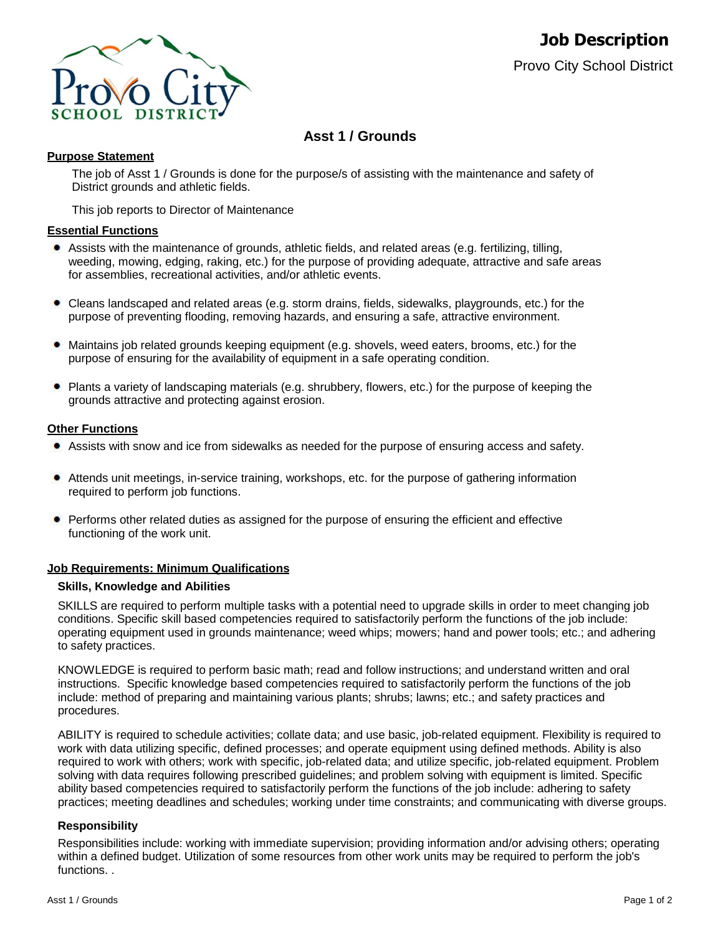

# **Asst 1 / Grounds**

### **Purpose Statement**

The job of Asst 1 / Grounds is done for the purpose/s of assisting with the maintenance and safety of District grounds and athletic fields.

This job reports to Director of Maintenance

#### **Essential Functions**

- Assists with the maintenance of grounds, athletic fields, and related areas (e.g. fertilizing, tilling, weeding, mowing, edging, raking, etc.) for the purpose of providing adequate, attractive and safe areas for assemblies, recreational activities, and/or athletic events.
- ٠ Cleans landscaped and related areas (e.g. storm drains, fields, sidewalks, playgrounds, etc.) for the purpose of preventing flooding, removing hazards, and ensuring a safe, attractive environment.
- Maintains job related grounds keeping equipment (e.g. shovels, weed eaters, brooms, etc.) for the purpose of ensuring for the availability of equipment in a safe operating condition.
- Plants a variety of landscaping materials (e.g. shrubbery, flowers, etc.) for the purpose of keeping the grounds attractive and protecting against erosion.

#### **Other Functions**

- Assists with snow and ice from sidewalks as needed for the purpose of ensuring access and safety.
- Attends unit meetings, in-service training, workshops, etc. for the purpose of gathering information required to perform job functions.
- **•** Performs other related duties as assigned for the purpose of ensuring the efficient and effective functioning of the work unit.

#### **Job Requirements: Minimum Qualifications**

#### **Skills, Knowledge and Abilities**

SKILLS are required to perform multiple tasks with a potential need to upgrade skills in order to meet changing job conditions. Specific skill based competencies required to satisfactorily perform the functions of the job include: operating equipment used in grounds maintenance; weed whips; mowers; hand and power tools; etc.; and adhering to safety practices.

KNOWLEDGE is required to perform basic math; read and follow instructions; and understand written and oral instructions. Specific knowledge based competencies required to satisfactorily perform the functions of the job include: method of preparing and maintaining various plants; shrubs; lawns; etc.; and safety practices and procedures.

ABILITY is required to schedule activities; collate data; and use basic, job-related equipment. Flexibility is required to work with data utilizing specific, defined processes; and operate equipment using defined methods. Ability is also required to work with others; work with specific, job-related data; and utilize specific, job-related equipment. Problem solving with data requires following prescribed guidelines; and problem solving with equipment is limited. Specific ability based competencies required to satisfactorily perform the functions of the job include: adhering to safety practices; meeting deadlines and schedules; working under time constraints; and communicating with diverse groups.

#### **Responsibility**

Responsibilities include: working with immediate supervision; providing information and/or advising others; operating within a defined budget. Utilization of some resources from other work units may be required to perform the job's functions. .